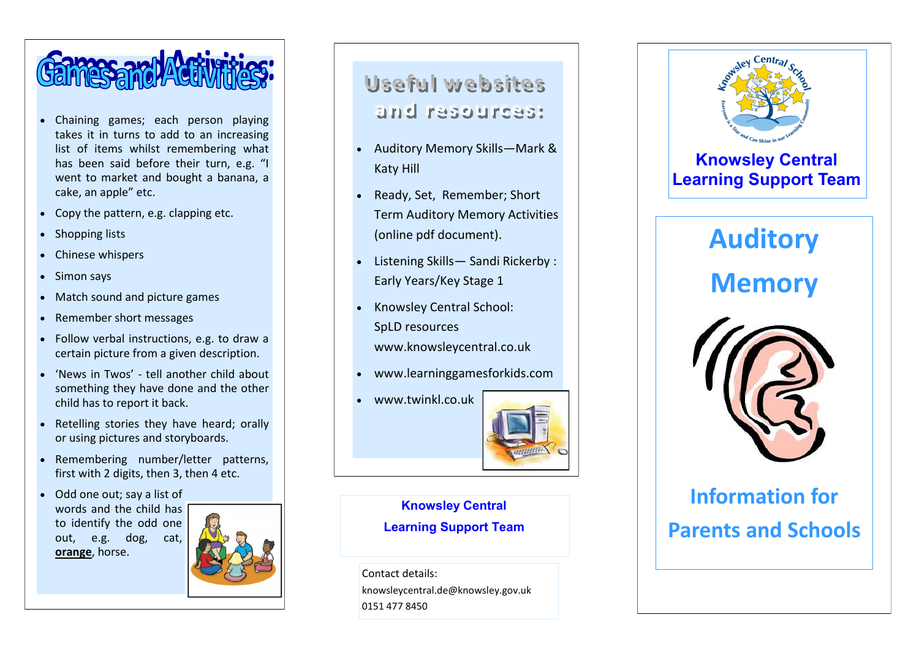

- Chaining games; each person playing takes it in turns to add to an increasing list of items whilst remembering what has been said before their turn, e.g. "I went to market and bought a banana, a cake, an apple" etc.
- Copy the pattern, e.g. clapping etc.
- Shopping lists
- Chinese whispers
- Simon says
- Match sound and picture games
- Remember short messages
- Follow verbal instructions, e.g. to draw a certain picture from a given description.
- 'News in Twos' tell another child about something they have done and the other child has to report it back.
- Retelling stories they have heard; orally or using pictures and storyboards.
- Remembering number/letter patterns, first with 2 digits, then 3, then 4 etc.
- Odd one out; say a list of words and the child has to identify the odd one out, e.g. dog, cat, **orange**, horse.



#### Useful websites and resources:

- Auditory Memory Skills —Mark & Katy Hill
- Ready, Set, Remember; Short Term Auditory Memory Activities (online pdf document).
- Listening Skills Sandi Rickerby : Early Years/Key Stage 1
- Knowsley Central School: SpLD resources www.knowsleycentral.co.uk
- www.learninggamesforkids.com
- www.twinkl.co.uk



**Knowsley Central Learning Support Team**

Contact details: knowsleycentral.de@knowsley.gov.uk 0151 477 8450



# **Parents and Schools**